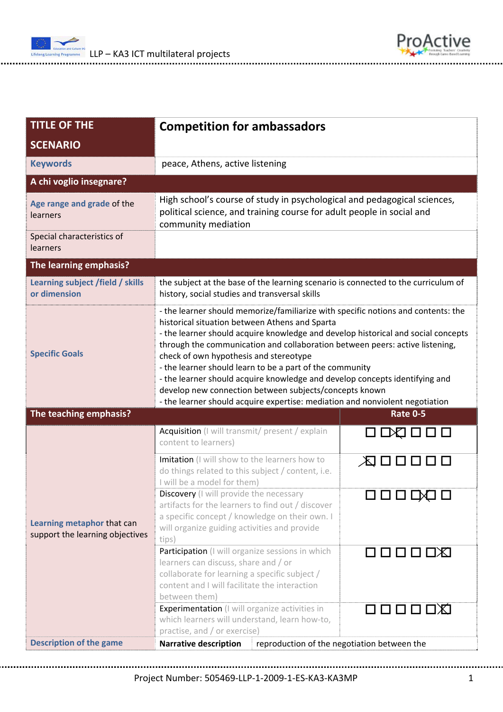



| <b>TITLE OF THE</b>                                                  | <b>Competition for ambassadors</b>                                                                                                                                                                                                                                                                                                                                                                                                                                                                                                                                                                                                      |                                             |  |
|----------------------------------------------------------------------|-----------------------------------------------------------------------------------------------------------------------------------------------------------------------------------------------------------------------------------------------------------------------------------------------------------------------------------------------------------------------------------------------------------------------------------------------------------------------------------------------------------------------------------------------------------------------------------------------------------------------------------------|---------------------------------------------|--|
| <b>SCENARIO</b>                                                      |                                                                                                                                                                                                                                                                                                                                                                                                                                                                                                                                                                                                                                         |                                             |  |
| <b>Keywords</b>                                                      | peace, Athens, active listening                                                                                                                                                                                                                                                                                                                                                                                                                                                                                                                                                                                                         |                                             |  |
| A chi voglio insegnare?                                              |                                                                                                                                                                                                                                                                                                                                                                                                                                                                                                                                                                                                                                         |                                             |  |
| Age range and grade of the<br>learners<br>Special characteristics of | High school's course of study in psychological and pedagogical sciences,<br>political science, and training course for adult people in social and<br>community mediation                                                                                                                                                                                                                                                                                                                                                                                                                                                                |                                             |  |
| learners                                                             |                                                                                                                                                                                                                                                                                                                                                                                                                                                                                                                                                                                                                                         |                                             |  |
| The learning emphasis?                                               |                                                                                                                                                                                                                                                                                                                                                                                                                                                                                                                                                                                                                                         |                                             |  |
| Learning subject /field / skills<br>or dimension                     | the subject at the base of the learning scenario is connected to the curriculum of<br>history, social studies and transversal skills                                                                                                                                                                                                                                                                                                                                                                                                                                                                                                    |                                             |  |
| <b>Specific Goals</b>                                                | - the learner should memorize/familiarize with specific notions and contents: the<br>historical situation between Athens and Sparta<br>- the learner should acquire knowledge and develop historical and social concepts<br>through the communication and collaboration between peers: active listening,<br>check of own hypothesis and stereotype<br>- the learner should learn to be a part of the community<br>- the learner should acquire knowledge and develop concepts identifying and<br>develop new connection between subjects/concepts known<br>- the learner should acquire expertise: mediation and nonviolent negotiation |                                             |  |
| The teaching emphasis?                                               |                                                                                                                                                                                                                                                                                                                                                                                                                                                                                                                                                                                                                                         | <b>Rate 0-5</b>                             |  |
| Learning metaphor that can<br>support the learning objectives        | Acquisition (I will transmit/ present / explain<br>content to learners)                                                                                                                                                                                                                                                                                                                                                                                                                                                                                                                                                                 | 0 DQ 0 0 0                                  |  |
|                                                                      | Imitation (I will show to the learners how to<br>do things related to this subject / content, i.e.<br>I will be a model for them)                                                                                                                                                                                                                                                                                                                                                                                                                                                                                                       | 人口口口口口                                      |  |
|                                                                      | <b>Discovery</b> (I will provide the necessary<br>artifacts for the learners to find out / discover<br>a specific concept / knowledge on their own. I<br>will organize guiding activities and provide<br>tips)                                                                                                                                                                                                                                                                                                                                                                                                                          | ㅁㅁㅁㅁ                                        |  |
|                                                                      | Participation (I will organize sessions in which<br>learners can discuss, share and / or<br>collaborate for learning a specific subject /<br>content and I will facilitate the interaction<br>between them)                                                                                                                                                                                                                                                                                                                                                                                                                             | 口口口口区                                       |  |
|                                                                      | <b>Experimentation</b> (I will organize activities in<br>which learners will understand, learn how-to,<br>practise, and / or exercise)                                                                                                                                                                                                                                                                                                                                                                                                                                                                                                  | 口口口口口                                       |  |
| <b>Description of the game</b>                                       | <b>Narrative description</b>                                                                                                                                                                                                                                                                                                                                                                                                                                                                                                                                                                                                            | reproduction of the negotiation between the |  |

Project Number: 505469‐LLP‐1‐2009‐1‐ES‐KA3‐KA3MP 1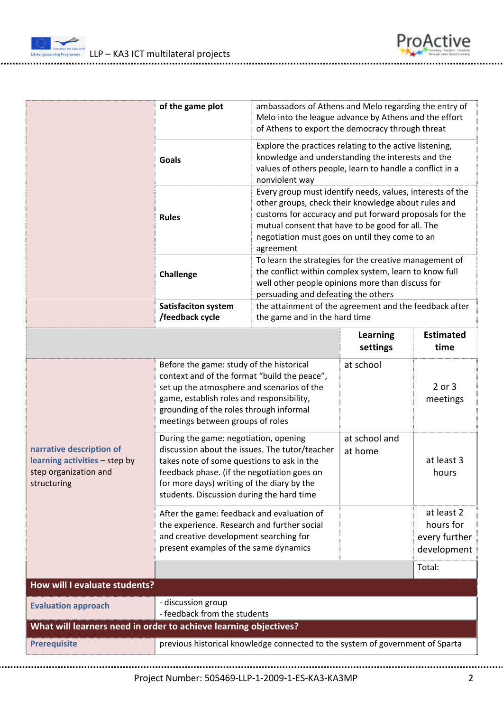

|                                                                                                   | of the game plot                                                                                                                                                                                                                                                                | ambassadors of Athens and Melo regarding the entry of<br>Melo into the league advance by Athens and the effort<br>of Athens to export the democracy through threat                                                                                                                            |                             |                                                         |
|---------------------------------------------------------------------------------------------------|---------------------------------------------------------------------------------------------------------------------------------------------------------------------------------------------------------------------------------------------------------------------------------|-----------------------------------------------------------------------------------------------------------------------------------------------------------------------------------------------------------------------------------------------------------------------------------------------|-----------------------------|---------------------------------------------------------|
|                                                                                                   | <b>Goals</b>                                                                                                                                                                                                                                                                    | Explore the practices relating to the active listening,<br>knowledge and understanding the interests and the<br>values of others people, learn to handle a conflict in a<br>nonviolent way                                                                                                    |                             |                                                         |
|                                                                                                   | <b>Rules</b>                                                                                                                                                                                                                                                                    | Every group must identify needs, values, interests of the<br>other groups, check their knowledge about rules and<br>customs for accuracy and put forward proposals for the<br>mutual consent that have to be good for all. The<br>negotiation must goes on until they come to an<br>agreement |                             |                                                         |
|                                                                                                   | Challenge                                                                                                                                                                                                                                                                       | To learn the strategies for the creative management of<br>the conflict within complex system, learn to know full<br>well other people opinions more than discuss for<br>persuading and defeating the others                                                                                   |                             |                                                         |
|                                                                                                   | <b>Satisfaciton system</b><br>/feedback cycle                                                                                                                                                                                                                                   | the attainment of the agreement and the feedback after<br>the game and in the hard time                                                                                                                                                                                                       |                             |                                                         |
|                                                                                                   |                                                                                                                                                                                                                                                                                 |                                                                                                                                                                                                                                                                                               | <b>Learning</b><br>settings | <b>Estimated</b><br>time                                |
| narrative description of<br>learning activities - step by<br>step organization and<br>structuring | Before the game: study of the historical<br>context and of the format "build the peace",<br>set up the atmosphere and scenarios of the<br>game, establish roles and responsibility,<br>grounding of the roles through informal<br>meetings between groups of roles              |                                                                                                                                                                                                                                                                                               | at school                   | 2 or 3<br>meetings                                      |
|                                                                                                   | During the game: negotiation, opening<br>discussion about the issues. The tutor/teacher<br>takes note of some questions to ask in the<br>feedback phase. (if the negotiation goes on<br>for more days) writing of the diary by the<br>students. Discussion during the hard time |                                                                                                                                                                                                                                                                                               | at school and<br>at home    | at least 3<br>hours                                     |
|                                                                                                   | After the game: feedback and evaluation of<br>the experience. Research and further social<br>and creative development searching for<br>present examples of the same dynamics                                                                                                    |                                                                                                                                                                                                                                                                                               |                             | at least 2<br>hours for<br>every further<br>development |
| How will I evaluate students?                                                                     |                                                                                                                                                                                                                                                                                 |                                                                                                                                                                                                                                                                                               |                             | Total:                                                  |
|                                                                                                   |                                                                                                                                                                                                                                                                                 |                                                                                                                                                                                                                                                                                               |                             |                                                         |
| <b>Evaluation approach</b>                                                                        | - discussion group<br>- feedback from the students                                                                                                                                                                                                                              |                                                                                                                                                                                                                                                                                               |                             |                                                         |
| What will learners need in order to achieve learning objectives?                                  |                                                                                                                                                                                                                                                                                 |                                                                                                                                                                                                                                                                                               |                             |                                                         |
| <b>Prerequisite</b>                                                                               | previous historical knowledge connected to the system of government of Sparta                                                                                                                                                                                                   |                                                                                                                                                                                                                                                                                               |                             |                                                         |

Project Number: 505469‐LLP‐1‐2009‐1‐ES‐KA3‐KA3MP 2

ProActive